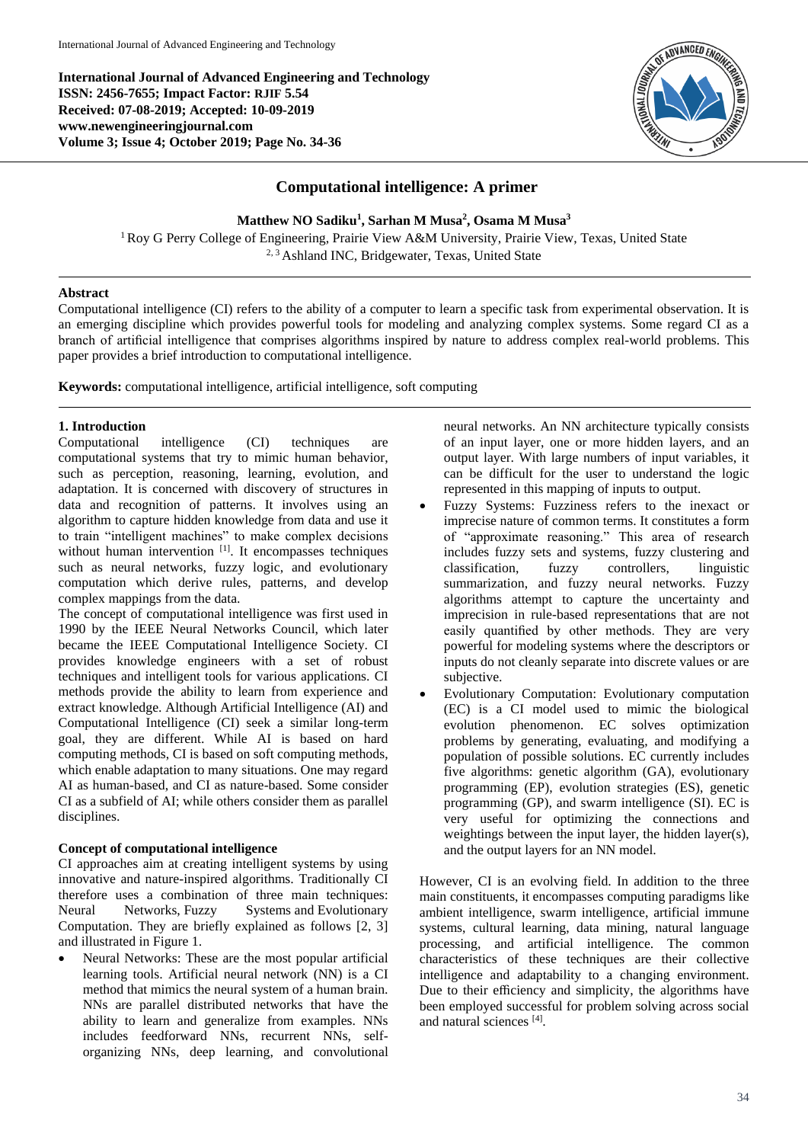**International Journal of Advanced Engineering and Technology ISSN: 2456-7655; Impact Factor: RJIF 5.54 Received: 07-08-2019; Accepted: 10-09-2019 www.newengineeringjournal.com Volume 3; Issue 4; October 2019; Page No. 34-36**



# **Computational intelligence: A primer**

**Matthew NO Sadiku<sup>1</sup> , Sarhan M Musa<sup>2</sup> , Osama M Musa<sup>3</sup>**

<sup>1</sup> Roy G Perry College of Engineering, Prairie View A&M University, Prairie View, Texas, United State <sup>2, 3</sup> Ashland INC, Bridgewater, Texas, United State

# **Abstract**

Computational intelligence (CI) refers to the ability of a computer to learn a specific task from experimental observation. It is an emerging discipline which provides powerful tools for modeling and analyzing complex systems. Some regard CI as a branch of artificial intelligence that comprises algorithms inspired by nature to address complex real-world problems. This paper provides a brief introduction to computational intelligence.

**Keywords:** computational intelligence, artificial intelligence, soft computing

# **1. Introduction**

Computational intelligence (CI) techniques are computational systems that try to mimic human behavior, such as perception, reasoning, learning, evolution, and adaptation. It is concerned with discovery of structures in data and recognition of patterns. It involves using an algorithm to capture hidden knowledge from data and use it to train "intelligent machines" to make complex decisions without human intervention [1]. It encompasses techniques such as neural networks, fuzzy logic, and evolutionary computation which derive rules, patterns, and develop complex mappings from the data.

The concept of computational intelligence was first used in 1990 by the IEEE Neural Networks Council, which later became the IEEE Computational Intelligence Society. CI provides knowledge engineers with a set of robust techniques and intelligent tools for various applications. CI methods provide the ability to learn from experience and extract knowledge. Although Artificial Intelligence (AI) and Computational Intelligence (CI) seek a similar long-term goal, they are different. While AI is based on hard computing methods, CI is based on soft computing methods, which enable adaptation to many situations. One may regard AI as human-based, and CI as nature-based. Some consider CI as a subfield of AI; while others consider them as parallel disciplines.

## **Concept of computational intelligence**

CI approaches aim at creating intelligent systems by using innovative and nature-inspired algorithms. Traditionally CI therefore uses a combination of three main techniques: Neural Networks, Fuzzy Systems and Evolutionary Computation. They are briefly explained as follows [2, 3] and illustrated in Figure 1.

 Neural Networks: These are the most popular artificial learning tools. Artificial neural network (NN) is a CI method that mimics the neural system of a human brain. NNs are parallel distributed networks that have the ability to learn and generalize from examples. NNs includes feedforward NNs, recurrent NNs, selforganizing NNs, deep learning, and convolutional

neural networks. An NN architecture typically consists of an input layer, one or more hidden layers, and an output layer. With large numbers of input variables, it can be difficult for the user to understand the logic represented in this mapping of inputs to output.

- Fuzzy Systems: Fuzziness refers to the inexact or imprecise nature of common terms. It constitutes a form of "approximate reasoning." This area of research includes fuzzy sets and systems, fuzzy clustering and classification, fuzzy controllers, linguistic summarization, and fuzzy neural networks. Fuzzy algorithms attempt to capture the uncertainty and imprecision in rule-based representations that are not easily quantified by other methods. They are very powerful for modeling systems where the descriptors or inputs do not cleanly separate into discrete values or are subjective.
- Evolutionary Computation: Evolutionary computation (EC) is a CI model used to mimic the biological evolution phenomenon. EC solves optimization problems by generating, evaluating, and modifying a population of possible solutions. EC currently includes five algorithms: genetic algorithm (GA), evolutionary programming (EP), evolution strategies (ES), genetic programming (GP), and swarm intelligence (SI). EC is very useful for optimizing the connections and weightings between the input layer, the hidden layer(s), and the output layers for an NN model.

However, CI is an evolving field. In addition to the three main constituents, it encompasses computing paradigms like ambient intelligence, swarm intelligence, artificial immune systems, cultural learning, data mining, natural language processing, and artificial intelligence. The common characteristics of these techniques are their collective intelligence and adaptability to a changing environment. Due to their efficiency and simplicity, the algorithms have been employed successful for problem solving across social and natural sciences [4] .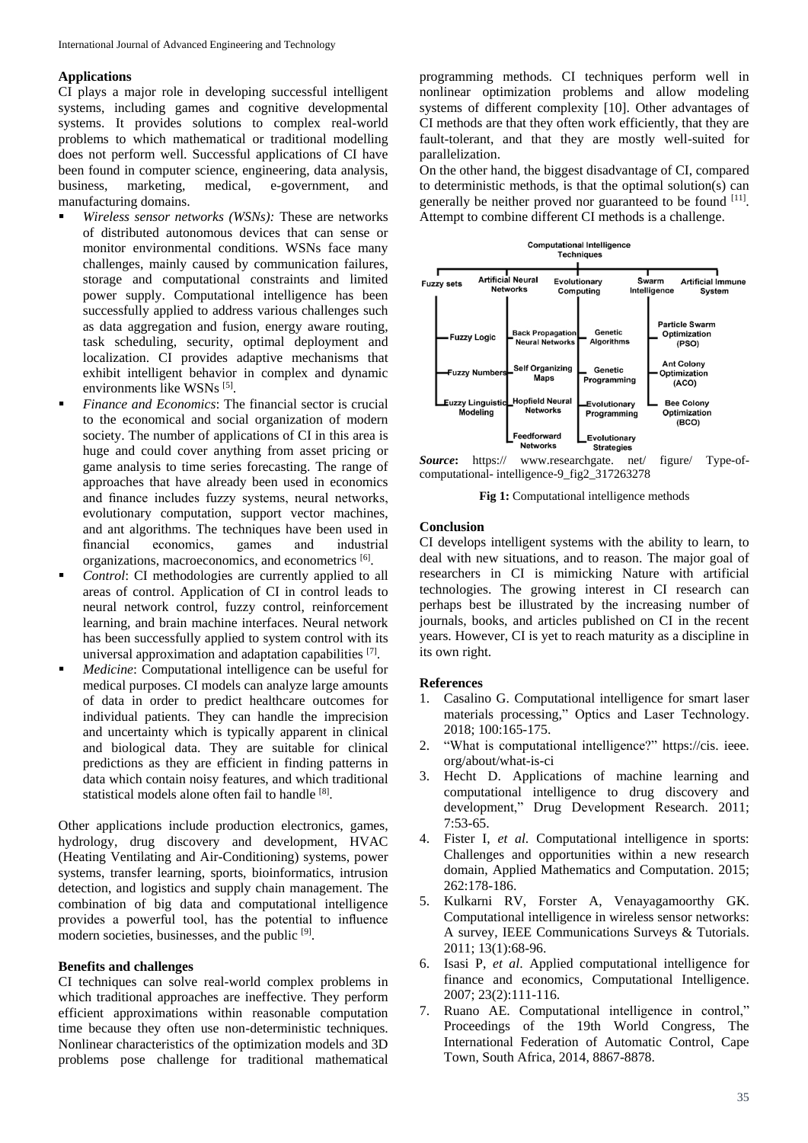#### **Applications**

CI plays a major role in developing successful intelligent systems, including games and cognitive developmental systems. It provides solutions to complex real-world problems to which mathematical or traditional modelling does not perform well. Successful applications of CI have been found in computer science, engineering, data analysis, business, marketing, medical, e-government, and manufacturing domains.

- *Wireless sensor networks (WSNs):* These are networks of distributed autonomous devices that can sense or monitor environmental conditions. WSNs face many challenges, mainly caused by communication failures, storage and computational constraints and limited power supply. Computational intelligence has been successfully applied to address various challenges such as data aggregation and fusion, energy aware routing, task scheduling, security, optimal deployment and localization. CI provides adaptive mechanisms that exhibit intelligent behavior in complex and dynamic environments like WSNs<sup>[5]</sup>.
- *Finance and Economics*: The financial sector is crucial to the economical and social organization of modern society. The number of applications of CI in this area is huge and could cover anything from asset pricing or game analysis to time series forecasting. The range of approaches that have already been used in economics and finance includes fuzzy systems, neural networks, evolutionary computation, support vector machines, and ant algorithms. The techniques have been used in financial economics, games and industrial organizations, macroeconomics, and econometrics [6].
- *Control*: CI methodologies are currently applied to all areas of control. Application of CI in control leads to neural network control, fuzzy control, reinforcement learning, and brain machine interfaces. Neural network has been successfully applied to system control with its universal approximation and adaptation capabilities [7].
- *Medicine*: Computational intelligence can be useful for medical purposes. CI models can analyze large amounts of data in order to predict healthcare outcomes for individual patients. They can handle the imprecision and uncertainty which is typically apparent in clinical and biological data. They are suitable for clinical predictions as they are efficient in finding patterns in data which contain noisy features, and which traditional statistical models alone often fail to handle [8].

Other applications include production electronics, games, hydrology, drug discovery and development, HVAC (Heating Ventilating and Air-Conditioning) systems, power systems, transfer learning, sports, bioinformatics, intrusion detection, and logistics and supply chain management. The combination of big data and computational intelligence provides a powerful tool, has the potential to influence modern societies, businesses, and the public [9].

#### **Benefits and challenges**

CI techniques can solve real-world complex problems in which traditional approaches are ineffective. They perform efficient approximations within reasonable computation time because they often use non-deterministic techniques. Nonlinear characteristics of the optimization models and 3D problems pose challenge for traditional mathematical

programming methods. CI techniques perform well in nonlinear optimization problems and allow modeling systems of different complexity [10]. Other advantages of CI methods are that they often work efficiently, that they are fault-tolerant, and that they are mostly well-suited for parallelization.

On the other hand, the biggest disadvantage of CI, compared to deterministic methods, is that the optimal solution(s) can generally be neither proved nor guaranteed to be found [11]. Attempt to combine different CI methods is a challenge.



*Source***:** https:// www.researchgate. net/ figure/ Type-ofcomputational- intelligence-9\_fig2\_317263278

**Fig 1:** Computational intelligence methods

### **Conclusion**

CI develops intelligent systems with the ability to learn, to deal with new situations, and to reason. The major goal of researchers in CI is mimicking Nature with artificial technologies. The growing interest in CI research can perhaps best be illustrated by the increasing number of journals, books, and articles published on CI in the recent years. However, CI is yet to reach maturity as a discipline in its own right.

#### **References**

- 1. Casalino G. Computational intelligence for smart laser materials processing," Optics and Laser Technology. 2018; 100:165-175.
- 2. "What is computational intelligence?" https://cis. ieee. org/about/what-is-ci
- 3. Hecht D. Applications of machine learning and computational intelligence to drug discovery and development," Drug Development Research. 2011; 7:53-65.
- 4. Fister I, *et al*. Computational intelligence in sports: Challenges and opportunities within a new research domain, Applied Mathematics and Computation. 2015; 262:178-186.
- 5. Kulkarni RV, Forster A, Venayagamoorthy GK. Computational intelligence in wireless sensor networks: A survey, IEEE Communications Surveys & Tutorials. 2011; 13(1):68-96.
- 6. Isasi P, *et al*. Applied computational intelligence for finance and economics, Computational Intelligence. 2007; 23(2):111-116.
- 7. Ruano AE. Computational intelligence in control," Proceedings of the 19th World Congress, The International Federation of Automatic Control, Cape Town, South Africa, 2014, 8867-8878.